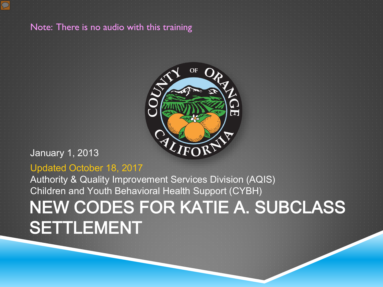

#### Note: There is no audio with this training



#### January 1, 2013

#### Updated October 18, 2017

NEW CODES FOR KATIE A. SUBCLASS **SETTLEMENT** Authority & Quality Improvement Services Division (AQIS) Children and Youth Behavioral Health Support (CYBH)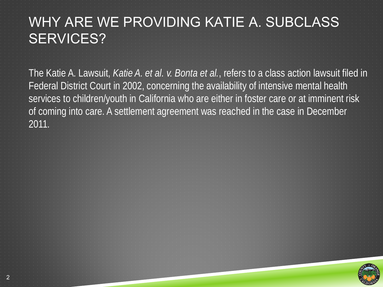### WHY ARE WE PROVIDING KATIE A. SUBCLASS SERVICES?

The Katie A. Lawsuit, *Katie A. et al. v. Bonta et al.*, refers to a class action lawsuit filed in Federal District Court in 2002, concerning the availability of intensive mental health services to children/youth in California who are either in foster care or at imminent risk of coming into care. A settlement agreement was reached in the case in December 2011.



2

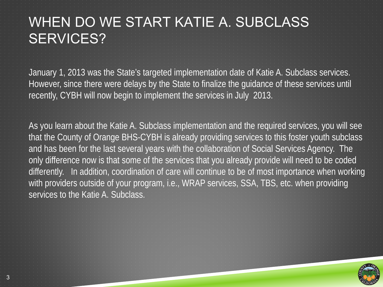#### WHEN DO WE START KATIE A. SUBCLASS SERVICES?

January 1, 2013 was the State's targeted implementation date of Katie A. Subclass services. However, since there were delays by the State to finalize the guidance of these services until recently, CYBH will now begin to implement the services in July 2013.

As you learn about the Katie A. Subclass implementation and the required services, you will see that the County of Orange BHS-CYBH is already providing services to this foster youth subclass and has been for the last several years with the collaboration of Social Services Agency. The only difference now is that some of the services that you already provide will need to be coded differently. In addition, coordination of care will continue to be of most importance when working with providers outside of your program, i.e., WRAP services, SSA, TBS, etc. when providing services to the Katie A. Subclass.

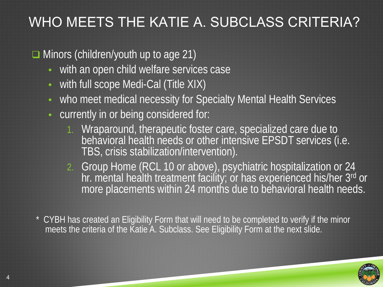### WHO MEETS THE KATIE A. SUBCLASS CRITERIA?

**Minors (children/youth up to age 21)** 

- with an open child welfare services case
- with full scope Medi-Cal (Title XIX)
- who meet medical necessity for Specialty Mental Health Services
- currently in or being considered for:
	- 1. Wraparound, therapeutic foster care, specialized care due to behavioral health needs or other intensive EPSDT services (i.e. TBS, crisis stabilization/intervention).
	- 2. Group Home (RCL 10 or above), psychiatric hospitalization or 24 hr. mental health treatment facility; or has experienced his/her 3rd or more placements within 24 months due to behavioral health needs.

\* CYBH has created an Eligibility Form that will need to be completed to verify if the minor meets the criteria of the Katie A. Subclass. See Eligibility Form at the next slide.

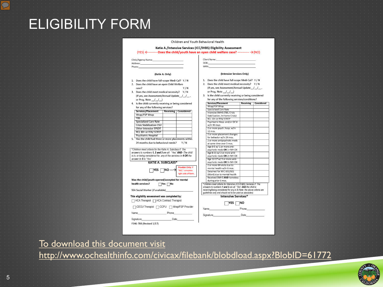

#### <http://www.ochealthinfo.com/civicax/filebank/blobdload.aspx?BlobID=61772>

| To download this document visit |
|---------------------------------|
|---------------------------------|

|  |  | To download this document visit |  |  |  |
|--|--|---------------------------------|--|--|--|
|  |  |                                 |  |  |  |

|  | To download this document visit |  |  |
|--|---------------------------------|--|--|
|  |                                 |  |  |

| <b>TELEVISION</b> |
|-------------------|
| <b>Service</b>    |

F346-788 (Revised 1/17)

Signature

Phone Name\_

CEGU Therapist CCPU Wrap/FSP Provider

Date

HCA Therapist | HCA Contract Therapist

This eligibility assessment was completed by:

SSA Social Worker (if available)

Was the child/youth opened/accepted for mental

**KATIE A. SUBCLASS\*** 

 $\Box$ YES  $\Box$ NO -

health services?  $\Box$ Yes  $\Box$ No

12 mos. 2 or more placement changes for behavior w/in 24 mos. 5. Has the child had three or more placements within 2 or more antipsychotic meds 24 months due to behavioral needs? Y/N at same time over 3 mos. Age 0-5 w/ 1 or more anti-\*Children meet criteria for the Katie A Subclass if: The psychotic meds OR 1+ MH DX answers to numbers 1, 2 and 3 are all: "Yes" AND - The child Age 6-11 w/ 2 or more antiis in, or being considered for, any of the services in 4 OR the psychotic meds OR 2+ MH DX Age 12-17 w/ 3 or more anti-

rovider Only: If

'NO," complete

right side of form

- or Prog. Note /// 3. Is the child currently receiving or being considered for any of the following services/conditions? Services/Placement **Receiving Considered**
- 2. Does the child meet medical necessity? Y/N (If yes, see Assessment/Annual Update / /
- 1. Does the child have full-scope Medi-Cal? Y / N

(Intensive Services Only)

Address:

(Katie A. Only)

1. Does the child have full-scope Medi-Cal? Y / N

3. Does the child meet medical necessity? Y/N

(If yes, see Assessment/Annual Update / /

4. Is the child currently receiving or being considered

Services/Placement | Receiving | Considered

2. Does the child have an open Child Welfare

or Prog. Note ///

Wrap/FSP Wrap

Specialized Care Rate

Crisis Stabilization-CSU

Other Intensive EPSDT

RCL 10+ or FFA/ STRTP

Psychiatric Hospital

answer to 5 is 'Yes'

TBS<sup>-</sup>

for any of the following services?

Phone:

case?

Clinic/Agency Name:

Katie A./Intensive Services (ICC/IHBS) Eligibility Assessment  $(YES) \leftarrow$  Does the child/vouth have an open child welfare case? ............  $\rightarrow (NO)$ 

Y/N

Client Name:

Wrap/FSP Wrap

w/in 90 days

Specialized Care Rate

Intensive SMHS (TRS, Crisi

RCL 10+ or FFA/ STRTP

Stabilization, In-Home Crisis)

Psychiatric Hosp, and/or DC'd

2 or more psych. hosp. w/in

psychotic meds OR 3+ MH DX 2 or more FR visits due to

mental health w/in 6 mos.

Detained for WIC 601/602

during prior 6 mos.

Name

Signature\_

(Ward) due to mental health Received SMHS AND homeless

\*Children meet criteria for Intensive (ICC/IHRS) Senance if: The answers to numbers 1 and 2 are all: "Yes" AND the child is

receiving/being considered for any in 3.(Note: the above criteria are guidelines only and should not to be used as absolutes).

Intensive Services\*

 $\Box$ YES  $\Box$ NO

Phone

Date

DOB: MRN:

Children and Youth Behavioral Health

ELIGIBILITY FORM

5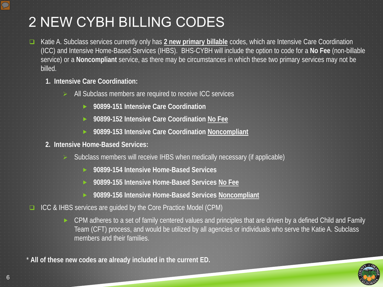### 2 NEW CYBH BILLING CODES

- Katie A. Subclass services currently only has **2 new primary billable** codes, which are Intensive Care Coordination (ICC) and Intensive Home-Based Services (IHBS). BHS-CYBH will include the option to code for a **No Fee** (non-billable service) or a **Noncompliant** service, as there may be circumstances in which these two primary services may not be billed.
	- **1. Intensive Care Coordination:**
		- $\blacktriangleright$  All Subclass members are required to receive ICC services
			- **90899-151 Intensive Care Coordination**
			- **90899-152 Intensive Care Coordination No Fee**
			- **90899-153 Intensive Care Coordination Noncompliant**
	- **2. Intensive Home-Based Services:** 
		- $\triangleright$ : Subclass members will receive IHBS when medically necessary (if applicable)
			- **90899-154 Intensive Home-Based Services**
			- **90899-155 Intensive Home-Based Services No Fee**
			- **90899-156 Intensive Home-Based Services Noncompliant**
- ICC & IHBS services are guided by the Core Practice Model (CPM)

▶ CPM adheres to a set of family centered values and principles that are driven by a defined Child and Family Team (CFT) process, and would be utilized by all agencies or individuals who serve the Katie A. Subclass members and their families.

\* **All of these new codes are already included in the current ED.**



 $\overline{\mathcal{D}}$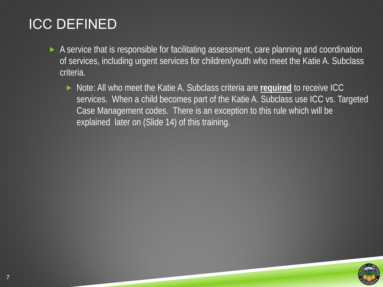### ICC DEFINED

7

- A service that is responsible for facilitating assessment, care planning and coordination of services, including urgent services for children/youth who meet the Katie A. Subclass criteria.
	- ▶ Note: All who meet the Katie A. Subclass criteria are **required** to receive ICC services. When a child becomes part of the Katie A. Subclass use ICC vs. Targeted Case Management codes. There is an exception to this rule which will be explained later on (Slide 14) of this training.

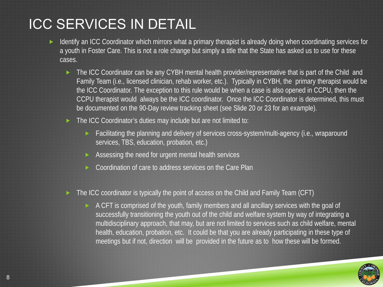#### ICC SERVICES IN DETAIL

8

- Identify an ICC Coordinator which mirrors what a primary therapist is already doing when coordinating services for a youth in Foster Care. This is not a role change but simply a title that the State has asked us to use for these cases.
	- The ICC Coordinator can be any CYBH mental health provider/representative that is part of the Child and Family Team (i.e., licensed clinician, rehab worker, etc.). Typically in CYBH, the primary therapist would be the ICC Coordinator. The exception to this rule would be when a case is also opened in CCPU, then the CCPU therapist would always be the ICC coordinator. Once the ICC Coordinator is determined, this must be documented on the 90-Day review tracking sheet (see Slide 20 or 23 for an example).
	- The ICC Coordinator's duties may include but are not limited to:
		- **Facilitating the planning and delivery of services cross-system/multi-agency (i.e., wraparound** services, TBS, education, probation, etc.)
		- Assessing the need for urgent mental health services
		- Coordination of care to address services on the Care Plan

#### The ICC coordinator is typically the point of access on the Child and Family Team (CFT)

 $\blacktriangleright$  A CFT is comprised of the youth, family members and all ancillary services with the goal of successfully transitioning the youth out of the child and welfare system by way of integrating a multidisciplinary approach, that may, but are not limited to services such as child welfare, mental health, education, probation, etc. It could be that you are already participating in these type of meetings but if not, direction will be provided in the future as to how these will be formed.

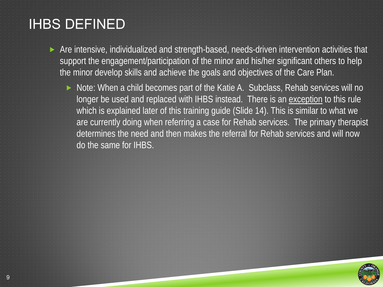### IHBS DEFINED

- Are intensive, individualized and strength-based, needs-driven intervention activities that support the engagement/participation of the minor and his/her significant others to help the minor develop skills and achieve the goals and objectives of the Care Plan.
	- ▶ Note: When a child becomes part of the Katie A. Subclass, Rehab services will no longer be used and replaced with IHBS instead. There is an exception to this rule which is explained later of this training guide (Slide 14). This is similar to what we are currently doing when referring a case for Rehab services. The primary therapist determines the need and then makes the referral for Rehab services and will now do the same for IHBS.

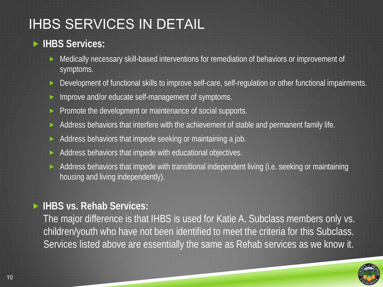#### IHBS SERVICES IN DETAIL

#### **IHBS Services:**

- Medically necessary skill-based interventions for remediation of behaviors or improvement of symptoms.
- Development of functional skills to improve self-care, self-regulation or other functional impairments.
- Improve and/or educate self-management of symptoms.
- Promote the development or maintenance of social supports.
- Address behaviors that interfere with the achievement of stable and permanent family life.
- Address behaviors that impede seeking or maintaining a job.
- Address behaviors that impede with educational objectives.
- Address behaviors that impede with transitional independent living (i.e. seeking or maintaining housing and living independently).

#### **IHBS vs. Rehab Services:**

The major difference is that IHBS is used for Katie A. Subclass members only vs. children/youth who have not been identified to meet the criteria for this Subclass. Services listed above are essentially the same as Rehab services as we know it.

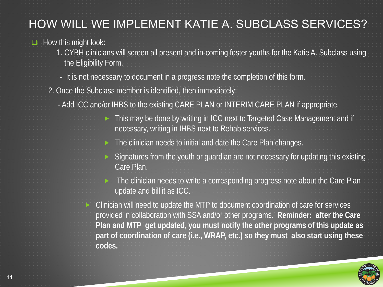#### HOW WILL WE IMPLEMENT KATIE A. SUBCLASS SERVICES?

#### $\Box$  How this might look:

1. CYBH clinicians will screen all present and in-coming foster youths for the Katie A. Subclass using the Eligibility Form.

- It is not necessary to document in a progress note the completion of this form.
- 2. Once the Subclass member is identified, then immediately:
	- Add ICC and/or IHBS to the existing CARE PLAN or INTERIM CARE PLAN if appropriate.
		- ▶ This may be done by writing in ICC next to Targeted Case Management and if necessary, writing in IHBS next to Rehab services.
		- $\blacktriangleright$  The clinician needs to initial and date the Care Plan changes.
		- Signatures from the youth or guardian are not necessary for updating this existing Care Plan.

 $\blacktriangleright$  The clinician needs to write a corresponding progress note about the Care Plan update and bill it as ICC.

 Clinician will need to update the MTP to document coordination of care for services provided in collaboration with SSA and/or other programs. **Reminder: after the Care Plan and MTP get updated, you must notify the other programs of this update as part of coordination of care (i.e., WRAP, etc.) so they must also start using these codes.**

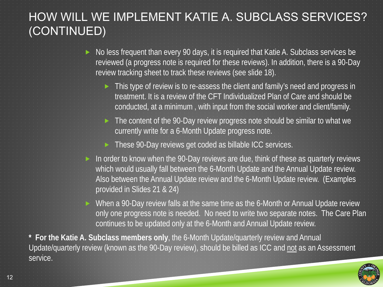#### HOW WILL WE IMPLEMENT KATIE A. SUBCLASS SERVICES? (CONTINUED)

- $\triangleright$  No less frequent than every 90 days, it is required that Katie A. Subclass services be reviewed (a progress note is required for these reviews). In addition, there is a 90-Day review tracking sheet to track these reviews (see slide 18).
	- **This type of review is to re-assess the client and family's need and progress in** treatment. It is a review of the CFT Individualized Plan of Care and should be conducted, at a minimum , with input from the social worker and client/family.
	- ► The content of the 90-Day review progress note should be similar to what we currently write for a 6-Month Update progress note.
	- These 90-Day reviews get coded as billable ICC services.
- In order to know when the 90-Day reviews are due, think of these as quarterly reviews which would usually fall between the 6-Month Update and the Annual Update review. Also between the Annual Update review and the 6-Month Update review. (Examples provided in Slides 21 & 24)
- ▶ When a 90-Day review falls at the same time as the 6-Month or Annual Update review only one progress note is needed. No need to write two separate notes. The Care Plan continues to be updated only at the 6-Month and Annual Update review.

**\* For the Katie A. Subclass members only**, the 6-Month Update/quarterly review and Annual Update/quarterly review (known as the 90-Day review), should be billed as ICC and not as an Assessment service.

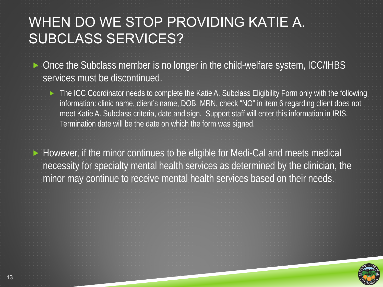#### WHEN DO WE STOP PROVIDING KATIE A. SUBCLASS SERVICES?

- ▶ Once the Subclass member is no longer in the child-welfare system, ICC/IHBS services must be discontinued.
	- ► The ICC Coordinator needs to complete the Katie A. Subclass Eligibility Form only with the following information: clinic name, client's name, DOB, MRN, check "NO" in item 6 regarding client does not meet Katie A. Subclass criteria, date and sign. Support staff will enter this information in IRIS. Termination date will be the date on which the form was signed.
- ► However, if the minor continues to be eligible for Medi-Cal and meets medical necessity for specialty mental health services as determined by the clinician, the minor may continue to receive mental health services based on their needs.

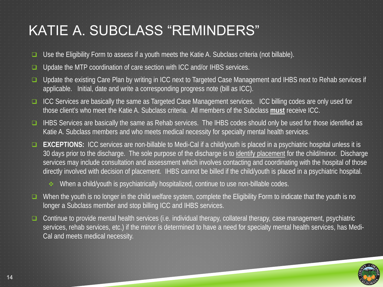### KATIE A. SUBCLASS "REMINDERS"

- $\Box$  Use the Eligibility Form to assess if a youth meets the Katie A. Subclass criteria (not billable).
- **Update the MTP coordination of care section with ICC and/or IHBS services.**
- □ Update the existing Care Plan by writing in ICC next to Targeted Case Management and IHBS next to Rehab services if applicable. Initial, date and write a corresponding progress note (bill as ICC).
- ICC Services are basically the same as Targeted Case Management services. ICC billing codes are only used for those client's who meet the Katie A. Subclass criteria. All members of the Subclass **must** receive ICC.
- IHBS Services are basically the same as Rehab services. The IHBS codes should only be used for those identified as Katie A. Subclass members and who meets medical necessity for specialty mental health services.
- **EXCEPTIONS:** ICC services are non-billable to Medi-Cal if a child/youth is placed in a psychiatric hospital unless it is 30 days prior to the discharge. The sole purpose of the discharge is to identify placement for the child/minor. Discharge services may include consultation and assessment which involves contacting and coordinating with the hospital of those directly involved with decision of placement. IHBS cannot be billed if the child/youth is placed in a psychiatric hospital.
	- $\cdot$  When a child/youth is psychiatrically hospitalized, continue to use non-billable codes.
- $\Box$  When the youth is no longer in the child welfare system, complete the Eligibility Form to indicate that the youth is no longer a Subclass member and stop billing ICC and IHBS services.
- $\Box$  Continue to provide mental health services (i.e. individual therapy, collateral therapy, case management, psychiatric services, rehab services, etc.) if the minor is determined to have a need for specialty mental health services, has Medi-Cal and meets medical necessity.

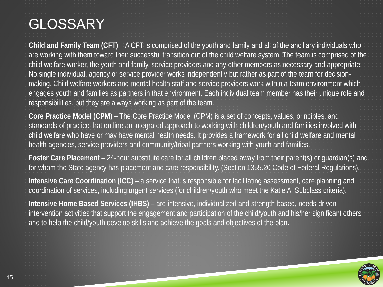### **GLOSSARY**

**Child and Family Team (CFT)** – A CFT is comprised of the youth and family and all of the ancillary individuals who are working with them toward their successful transition out of the child welfare system. The team is comprised of the child welfare worker, the youth and family, service providers and any other members as necessary and appropriate. No single individual, agency or service provider works independently but rather as part of the team for decisionmaking. Child welfare workers and mental health staff and service providers work within a team environment which engages youth and families as partners in that environment. Each individual team member has their unique role and responsibilities, but they are always working as part of the team.

**Core Practice Model (CPM)** – The Core Practice Model (CPM) is a set of concepts, values, principles, and standards of practice that outline an integrated approach to working with children/youth and families involved with child welfare who have or may have mental health needs. It provides a framework for all child welfare and mental health agencies, service providers and community/tribal partners working with youth and families.

**Foster Care Placement** – 24-hour substitute care for all children placed away from their parent(s) or guardian(s) and for whom the State agency has placement and care responsibility. (Section 1355.20 Code of Federal Regulations).

**Intensive Care Coordination (ICC)** – a service that is responsible for facilitating assessment, care planning and coordination of services, including urgent services (for children/youth who meet the Katie A. Subclass criteria).

**Intensive Home Based Services (IHBS)** – are intensive, individualized and strength-based, needs-driven intervention activities that support the engagement and participation of the child/youth and his/her significant others and to help the child/youth develop skills and achieve the goals and objectives of the plan.

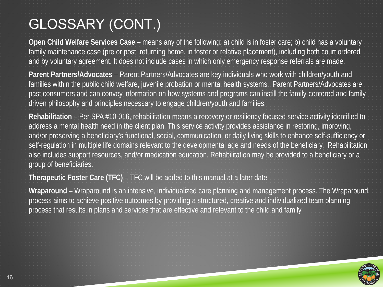## GLOSSARY (CONT.)

**Open Child Welfare Services Case** – means any of the following: a) child is in foster care; b) child has a voluntary family maintenance case (pre or post, returning home, in foster or relative placement), including both court ordered and by voluntary agreement. It does not include cases in which only emergency response referrals are made.

**Parent Partners/Advocates** – Parent Partners/Advocates are key individuals who work with children/youth and families within the public child welfare, juvenile probation or mental health systems. Parent Partners/Advocates are past consumers and can convey information on how systems and programs can instill the family-centered and family driven philosophy and principles necessary to engage children/youth and families.

**Rehabilitation** – Per SPA #10-016, rehabilitation means a recovery or resiliency focused service activity identified to address a mental health need in the client plan. This service activity provides assistance in restoring, improving, and/or preserving a beneficiary's functional, social, communication, or daily living skills to enhance self-sufficiency or self-regulation in multiple life domains relevant to the developmental age and needs of the beneficiary. Rehabilitation also includes support resources, and/or medication education. Rehabilitation may be provided to a beneficiary or a group of beneficiaries.

**Therapeutic Foster Care (TFC)** – TFC will be added to this manual at a later date.

**Wraparound** – Wraparound is an intensive, individualized care planning and management process. The Wraparound process aims to achieve positive outcomes by providing a structured, creative and individualized team planning process that results in plans and services that are effective and relevant to the child and family

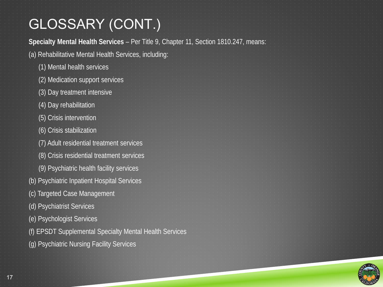## GLOSSARY (CONT.)

**Specialty Mental Health Services** – Per Title 9, Chapter 11, Section 1810.247, means: (a) Rehabilitative Mental Health Services, including: (1) Mental health services (2) Medication support services (3) Day treatment intensive (4) Day rehabilitation (5) Crisis intervention (6) Crisis stabilization (7) Adult residential treatment services (8) Crisis residential treatment services (9) Psychiatric health facility services (b) Psychiatric Inpatient Hospital Services (c) Targeted Case Management (d) Psychiatrist Services (e) Psychologist Services (f) EPSDT Supplemental Specialty Mental Health Services (g) Psychiatric Nursing Facility Services

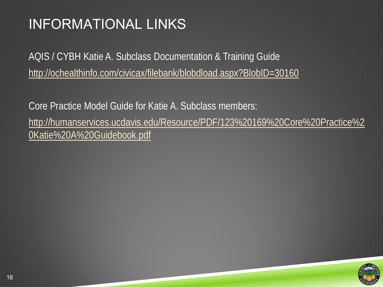## INFORMATIONAL LINKS

AQIS / CYBH Katie A. Subclass Documentation & Training Guide <http://ochealthinfo.com/civicax/filebank/blobdload.aspx?BlobID=30160>

Core Practice Model Guide for Katie A. Subclass members: [http://humanservices.ucdavis.edu/Resource/PDF/123%20169%20Core%20Practice%2](http://humanservices.ucdavis.edu/Resource/PDF/123%20169%20Core%20Practice%20Katie%20A%20Guidebook.pdf) 0Katie%20A%20Guidebook.pdf

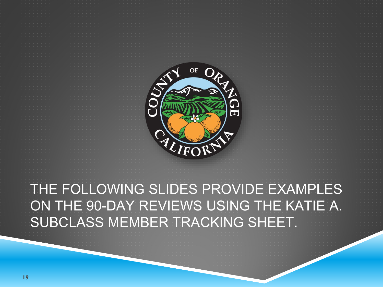

THE FOLLOWING SLIDES PROVIDE EXAMPLES ON THE 90-DAY REVIEWS USING THE KATIE A. SUBCLASS MEMBER TRACKING SHEET.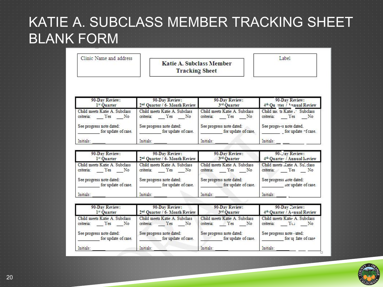#### KATIE A. SUBCLASS MEMBER TRACKING SHEET BLANK FORM

| Clinic Name and address | <b>Katie A. Subclass Member</b><br><b>Tracking Sheet</b> | abel |
|-------------------------|----------------------------------------------------------|------|
|-------------------------|----------------------------------------------------------|------|

| 90-Day Review:                                                      | 90-Day Review:                                                      | 90-Day Review:                                                      | 90-Day Review:                                                                    |
|---------------------------------------------------------------------|---------------------------------------------------------------------|---------------------------------------------------------------------|-----------------------------------------------------------------------------------|
| 1 <sup>st</sup> Quarter                                             | 2 <sup>nd</sup> Quarter / 6- Month Review                           | 3rd Quarter                                                         | 4 <sup>th</sup> Ou rter / Annual Review                                           |
| Child meets Katie A. Subclass<br>Yes<br>N <sub>o</sub><br>criteria: | Child meets Katie A. Subclass<br>criteria:<br>Yes<br>N <sub>o</sub> | Child meets Katie A. Subclass<br>criteria:<br>Yes<br>N <sub>o</sub> | Child me ts Katie.<br><b>Subclass</b><br>criteria:<br>$\mathbb{N}^{\circ}$<br>Yes |
| See progress note dated:                                            | See progress note dated:                                            | See progress note dated:                                            | See progress note dated.                                                          |
| for update of case.                                                 | for update of case.                                                 | for update of case.                                                 | for update ~f case.                                                               |
| Initials:                                                           | Initials:                                                           | Initials:                                                           | Initials:                                                                         |

| 90-Day Review:                | 90-Day Review:                            | 90-Day Review:                | 90-Jay Review:                 |
|-------------------------------|-------------------------------------------|-------------------------------|--------------------------------|
| 1 <sup>st</sup> Ouarter       | 2 <sup>nd</sup> Quarter / 6- Month Review | 3rd Quarter                   | 4th Quarter / Annual Leview    |
| Child meets Katie A. Subclass | Child meets Katie A. Subclass             | Child meets Katie A. Subclass | Child meets Katie A. Sul class |
| Yes                           | Yes                                       | criteria:                     | criteria:                      |
| No                            | criteria:                                 | Yes                           | No                             |
| criteria:                     | No                                        | No                            | Yes                            |
| See progress note dated:      | See progress note dated:                  | See progress note dated:      | See progress note dated:       |
| for update of case.           | for update of case.                       | for update of case.           | tor update of case.            |
| Initials:                     | Initials:                                 | Initials:                     | Initials:                      |

| 90-Day Review:                                                      | 90-Day Review:                                                      | 90-Day Review:                                                      | 90-Day Review:                                    |
|---------------------------------------------------------------------|---------------------------------------------------------------------|---------------------------------------------------------------------|---------------------------------------------------|
| 1 <sup>st</sup> Ouarter                                             | 2 <sup>nd</sup> Quarter / 6- Month Review                           | 3rd Quarter                                                         | 4 <sup>th</sup> Quarter / A-mual Review           |
| Child meets Katie A. Subclass<br>Yes<br>N <sub>o</sub><br>criteria: | Child meets Katie A. Subclass<br>criteria:<br>Yes<br>N <sub>o</sub> | Child meets Katie A. Subclass<br>criteria:<br>Yes<br>N <sub>o</sub> | Child meets Katie A. Subclass<br>criteria: Yes No |
| See progress note dated:                                            | See progress note dated:                                            | See progress note dated:                                            | See progress note - ated:                         |
| for update of case.                                                 | for update of case.                                                 | for update of case.                                                 | for uj date of case                               |
| Initials:                                                           | Initials:                                                           | Initials:                                                           | Initials:                                         |

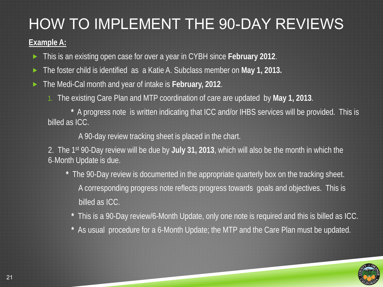## HOW TO IMPLEMENT THE 90-DAY REVIEWS

#### **Example A:**

This is an existing open case for over a year in CYBH since **February 2012**.

The foster child is identified as a Katie A. Subclass member on **May 1, 2013.**

- The Medi-Cal month and year of intake is **February, 2012**.
	- 1. The existing Care Plan and MTP coordination of care are updated by **May 1, 2013**.

**\*** A progress note is written indicating that ICC and/or IHBS services will be provided. This is billed as ICC.

A 90-day review tracking sheet is placed in the chart.

2. The 1st 90-Day review will be due by **July 31, 2013**, which will also be the month in which the 6\_Month Update is due.

- **\*** The 90-Day review is documented in the appropriate quarterly box on the tracking sheet. A corresponding progress note reflects progress towards goals and objectives. This is billed as ICC.
	- **\*** This is a 90-Day review/6-Month Update, only one note is required and this is billed as ICC.
	- **\*** As usual procedure for a 6-Month Update; the MTP and the Care Plan must be updated.

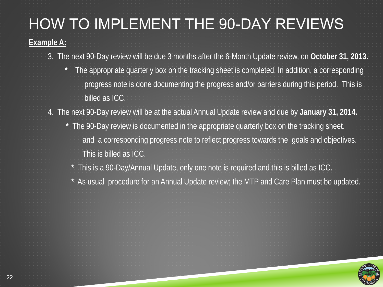# HOW TO IMPLEMENT THE 90-DAY REVIEWS

#### **Example A:**

- 3. The next 90-Day review will be due 3 months after the 6-Month Update review, on **October 31, 2013.**
	- **\*** The appropriate quarterly box on the tracking sheet is completed. In addition, a corresponding progress note is done documenting the progress and/or barriers during this period. This is billed as ICC.
- 4. The next 90-Day review will be at the actual Annual Update review and due by **January 31, 2014.**
	- **\*** The 90-Day review is documented in the appropriate quarterly box on the tracking sheet. and a corresponding progress note to reflect progress towards the goals and objectives. This is billed as ICC.
		- **\*** This is a 90-Day/Annual Update, only one note is required and this is billed as ICC.
		- **\*** As usual procedure for an Annual Update review; the MTP and Care Plan must be updated.

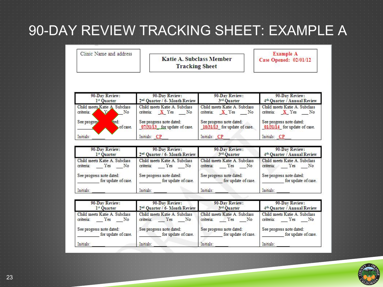### 90-DAY REVIEW TRACKING SHEET: EXAMPLE A

Clinic Name and address

**Katie A. Subclass Member Tracking Sheet** 

**Example A** Case Opened: 02/01/12

| 90-Day Review:<br>1st Ouarter                    | 90-Day Review:<br>2 <sup>nd</sup> Ouarter / 6- Month Review             | 90-Day Review:<br>3rd Quarter                               | 90-Day Review:<br>4 <sup>th</sup> Quarter / Annual Review   |
|--------------------------------------------------|-------------------------------------------------------------------------|-------------------------------------------------------------|-------------------------------------------------------------|
| Child meets Katie A. Subclass<br>criteria:<br>No | Child meets Katie A. Subclass<br>N <sub>o</sub><br>criteria:<br>$X$ Yes | Child meets Katie A. Subclass<br>criteria:<br>$X$ Yes<br>No | Child meets Katie A. Subclass<br>criteria:<br>$X$ Yes<br>No |
| <b>Ved:</b><br>See progres<br>of case.           | See progress note dated:<br>07/31/13 for update of case.                | See progress note dated:<br>10/31/13 for update of case.    | See progress note dated:<br>01/31/14 for update of case.    |
| Initials:                                        | Initials: CP                                                            | Initials: CP                                                | Initials: CP                                                |

| 90-Day Review:                                          | 90-Day Review:                                          | 90-Day Review:                                                      | 90-Day Review:                                       |
|---------------------------------------------------------|---------------------------------------------------------|---------------------------------------------------------------------|------------------------------------------------------|
| 1 <sup>st</sup> Quarter                                 | 2 <sup>nd</sup> Quarter / 6- Month Review               | 3rd Quarter                                                         | 4 <sup>th</sup> Quarter / Annual Review              |
| Child meets Katie A. Subclass<br>criteria:<br>Yes<br>No | Child meets Katie A. Subclass<br>criteria:<br>No<br>Yes | Child meets Katie A. Subclass<br>criteria:<br>Yes<br>N <sub>o</sub> | Child meets Katie A. Subclass<br>criteria:<br>Yes No |
| See progress note dated:                                | See progress note dated:                                | See progress note dated:                                            | See progress note dated:                             |
| for update of case.                                     | for update of case.                                     | for update of case.                                                 | for update of case.                                  |
| Initials:                                               | Initials:                                               | Initials:                                                           | Initials:                                            |

| 90-Day Review:                | 90-Day Review:                            | 90-Day Review:                | 90-Day Review:                          |
|-------------------------------|-------------------------------------------|-------------------------------|-----------------------------------------|
| 1st Ouarter                   | 2 <sup>nd</sup> Quarter / 6- Month Review | 3rd Quarter                   | 4 <sup>th</sup> Quarter / Annual Review |
| Child meets Katie A. Subclass | Child meets Katie A. Subclass             | Child meets Katie A. Subclass | Child meets Katie A. Subclass           |
| criteria:                     | criteria:                                 | criteria:                     | criteria:                               |
| Yes                           | Yes                                       | Yes                           | Yes                                     |
| No                            | No                                        | No                            | No                                      |
| See progress note dated:      | See progress note dated:                  | See progress note dated:      | See progress note dated:                |
| for update of case.           | for update of case.                       | for update of case.           | for update of case.                     |
| Initials:                     | Initials:                                 | Initials:                     | Initials:                               |



23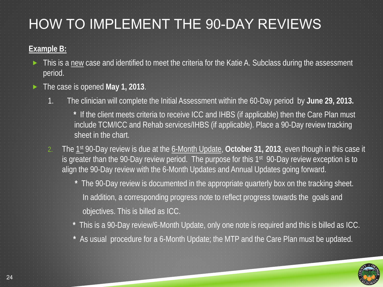### HOW TO IMPLEMENT THE 90-DAY REVIEWS

#### **Example B:**

- This is a new case and identified to meet the criteria for the Katie A. Subclass during the assessment period.
- The case is opened **May 1, 2013**.
	- 1. The clinician will complete the Initial Assessment within the 60-Day period by **June 29, 2013.**
		- **\*** If the client meets criteria to receive ICC and IHBS (if applicable) then the Care Plan must include TCM/ICC and Rehab services/IHBS (if applicable). Place a 90-Day review tracking sheet in the chart.
	- 2. The 1st 90-Day review is due at the 6-Month Update, **October 31, 2013**, even though in this case it is greater than the 90-Day review period. The purpose for this 1<sup>st</sup> 90-Day review exception is to align the 90-Day review with the 6-Month Updates and Annual Updates going forward.
		- **\*** The 90-Day review is documented in the appropriate quarterly box on the tracking sheet. In addition, a corresponding progress note to reflect progress towards the goals and objectives. This is billed as ICC.
		- **\*** This is a 90-Day review/6-Month Update, only one note is required and this is billed as ICC.
		- **\*** As usual procedure for a 6-Month Update; the MTP and the Care Plan must be updated.

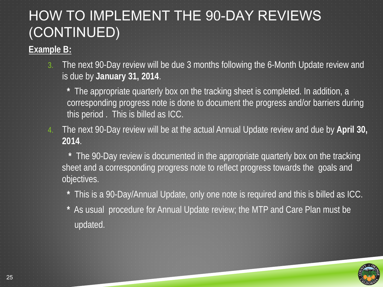## HOW TO IMPLEMENT THE 90-DAY REVIEWS (CONTINUED)

#### **Example B:**

- 3. The next 90-Day review will be due 3 months following the 6-Month Update review and is due by **January 31, 2014**.
	- **\*** The appropriate quarterly box on the tracking sheet is completed. In addition, a corresponding progress note is done to document the progress and/or barriers during this period . This is billed as ICC.
- 4. The next 90-Day review will be at the actual Annual Update review and due by **April 30, 2014**.
	- **\*** The 90-Day review is documented in the appropriate quarterly box on the tracking sheet and a corresponding progress note to reflect progress towards the goals and objectives.
		- **\*** This is a 90-Day/Annual Update, only one note is required and this is billed as ICC.
		- **\*** As usual procedure for Annual Update review; the MTP and Care Plan must be updated.

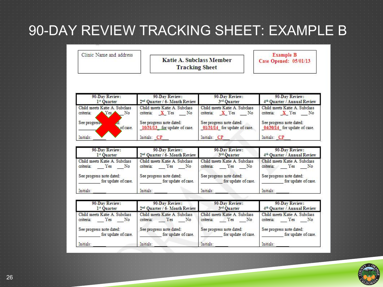#### 90-DAY REVIEW TRACKING SHEET: EXAMPLE B

Clinic Name and address

**Katie A. Subclass Member Tracking Sheet** 

**Example B** Case Opened: 05/01/13

| 90-Day Review:                                          | 90-Day Review:                                         | 90-Day Review:                                         | 90-Day Review:                                                          |
|---------------------------------------------------------|--------------------------------------------------------|--------------------------------------------------------|-------------------------------------------------------------------------|
| 1 <sup>ar</sup> Ouarter                                 | 2 <sup>nd</sup> Quarter / 6- Month Review              | 3rd Quarter                                            | 4 <sup>th</sup> Quarter / Annual Review                                 |
| Child meets Katie A. Subclass<br>Yes<br>No<br>criteria: | Child meets Katie A. Subclass<br>criteria:<br>X Yes No | Child meets Katie A. Subclass<br>criteria:<br>X Yes No | Child meets Katie A. Subclass<br>criteria:<br>$X$ Yes<br>N <sub>o</sub> |
| See progress                                            | See progress note dated:                               | See progress note dated:                               | See progress note dated:                                                |
| of case.                                                | 10/31/13 for update of case.                           | 01/31/14 for update of case.                           | 04/30/14 for update of case.                                            |
| Initials:                                               | Initials: CP                                           | Initials: CP                                           | Initials: CP                                                            |

| 90-Day Review:                | 90-Day Review:                            | 90-Day Review:                | 90-Day Review:                          |
|-------------------------------|-------------------------------------------|-------------------------------|-----------------------------------------|
| 1st Quarter                   | 2 <sup>nd</sup> Quarter / 6- Month Review | 3rd Quarter                   | 4 <sup>th</sup> Quarter / Annual Review |
| Child meets Katie A. Subclass | Child meets Katie A. Subclass             | Child meets Katie A. Subclass | Child meets Katie A. Subclass           |
| criteria:                     | criteria:                                 | criteria:                     | criteria:                               |
| No                            | Yes                                       | Yes                           | Yes                                     |
| Yes                           | No                                        | No                            | N <sub>o</sub>                          |
| See progress note dated:      | See progress note dated:                  | See progress note dated:      | See progress note dated:                |
| for update of case.           | for update of case.                       | for update of case.           | for update of case.                     |
| Initials:                     | Initials:                                 | Initials:                     | Initials:                               |

| 90-Day Review:                                                      | 90-Day Review:                                       | 90-Day Review:                                       | 90-Day Review:                                    |
|---------------------------------------------------------------------|------------------------------------------------------|------------------------------------------------------|---------------------------------------------------|
| 1 <sup>st</sup> Quarter                                             | 2 <sup>nd</sup> Quarter / 6- Month Review            | 3rd Quarter                                          | 4 <sup>th</sup> Quarter / Annual Review           |
| Child meets Katie A. Subclass<br>criteria:<br>Yes<br>N <sub>o</sub> | Child meets Katie A. Subclass<br>criteria:<br>Yes No | Child meets Katie A. Subclass<br>criteria:<br>Yes No | Child meets Katie A. Subclass<br>criteria: Yes No |
| See progress note dated:                                            | See progress note dated:                             | See progress note dated:                             | See progress note dated:                          |
| for update of case.                                                 | for update of case.                                  | for update of case.                                  | for update of case.                               |
| Initials:                                                           | Initials:                                            | Initials:                                            | Initials:                                         |



26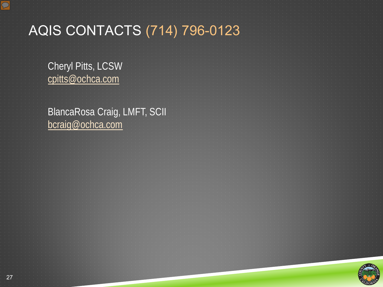

 $\overline{C}$